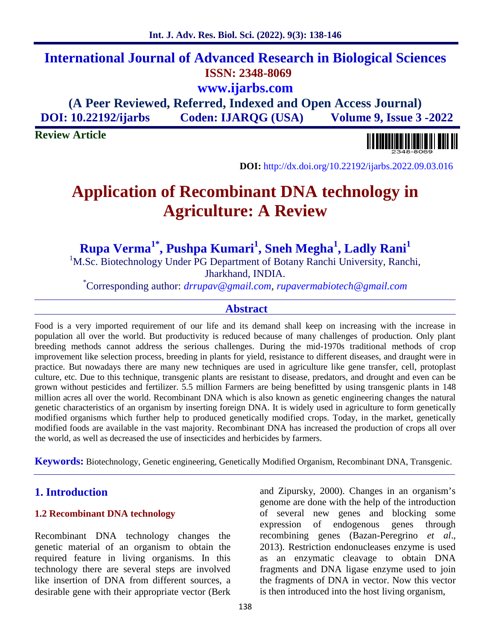# **International Journal of Advanced Research in Biological Sciences ISSN: 2348-8069 www.ijarbs.com**

**(A Peer Reviewed, Referred, Indexed and Open Access Journal) DOI: 10.22192/ijarbs Coden: IJARQG (USA) Volume 9, Issue 3 -2022**

**Review Article**

**DOI:** http://dx.doi.org/10.22192/ijarbs.2022.09.03.016

# **Application of Recombinant DNA technology in Agriculture: A Review**

**Rupa Verma 1\*, Pushpa Kumari<sup>1</sup> , Sneh Megha<sup>1</sup> , Ladly Rani<sup>1</sup>**

<sup>1</sup>M.Sc. Biotechnology Under PG Department of Botany Ranchi University, Ranchi, Jharkhand, INDIA. \*Corresponding author: *drrupav@gmail.com, rupavermabiotech@gmail.com*

# **Abstract**

Food is a very imported requirement of our life and its demand shall keep on increasing with the increase in population all over the world. But productivity is reduced because of many challenges of production. Only plant breeding methods cannot address the serious challenges. During the mid-1970s traditional methods of crop improvement like selection process, breeding in plants for yield, resistance to different diseases, and draught were in practice. But nowadays there are many new techniques are used in agriculture like gene transfer, cell, protoplast culture, etc. Due to this technique, transgenic plants are resistant to disease, predators, and drought and even can be grown without pesticides and fertilizer. 5.5 million Farmers are being benefitted by using transgenic plants in 148 million acres all over the world. Recombinant DNA which is also known as genetic engineering changes the natural genetic characteristics of an organism by inserting foreign DNA. It is widely used in agriculture to form genetically modified organisms which further help to produced genetically modified crops. Today, in the market, genetically modified foods are available in the vast majority. Recombinant DNA has increased the production of crops all over the world, as well as decreased the use of insecticides and herbicides by farmers.

**Keywords:** Biotechnology, Genetic engineering, Genetically Modified Organism, Recombinant DNA, Transgenic.

# **1. Introduction**

#### **1.2 Recombinant DNA technology**

Recombinant DNA technology changes the genetic material of an organism to obtain the required feature in living organisms. In this technology there are several steps are involved like insertion of DNA from different sources, a desirable gene with their appropriate vector (Berk and Zipursky, 2000). Changes in an organism's genome are done with the help of the introduction of several new genes and blocking some expression of endogenous genes through recombining genes (Bazan-Peregrino *et al*., 2013). Restriction endonucleases enzyme is used as an enzymatic cleavage to obtain DNA fragments and DNA ligase enzyme used to join the fragments of DNA in vector. Now this vector is then introduced into the host living organism,

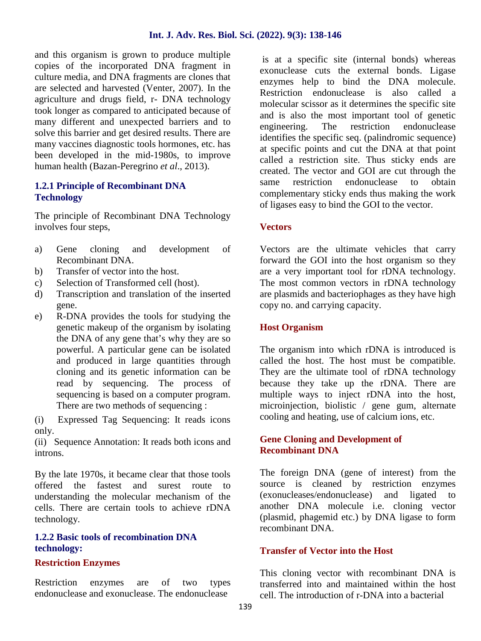and this organism is grown to produce multiple copies of the incorporated DNA fragment in culture media, and DNA fragments are clones that are selected and harvested (Venter, 2007). In the agriculture and drugs field, r- DNA technology took longer as compared to anticipated because of many different and unexpected barriers and to engineering. solve this barrier and get desired results. There are many vaccines diagnostic tools hormones, etc. has been developed in the mid-1980s, to improve human health (Bazan-Peregrino *et al*., 2013).

#### **1.2.1 Principle of Recombinant DNA Technology**

The principle of Recombinant DNA Technology involves four steps,

- a) Gene cloning and development of Recombinant DNA.
- b) Transfer of vector into the host.
- c) Selection of Transformed cell (host).
- d) Transcription and translation of the inserted gene.
- e) R-DNA provides the tools for studying the genetic makeup of the organism by isolating the DNA of any gene that's why they are so powerful. A particular gene can be isolated and produced in large quantities through cloning and its genetic information can be read by sequencing. The process of sequencing is based on a computer program. There are two methods of sequencing :

(i) Expressed Tag Sequencing: It reads icons only.

(ii) Sequence Annotation: It reads both icons and introns.

By the late 1970s, it became clear that those tools offered the fastest and surest route to understanding the molecular mechanism of the cells. There are certain tools to achieve rDNA technology.

#### **1.2.2 Basic tools of recombination DNA technology:**

#### **Restriction Enzymes**

Restriction enzymes are of two types endonuclease and exonuclease. The endonuclease

is at a specific site (internal bonds) whereas exonuclease cuts the external bonds. Ligase enzymes help to bind the DNA molecule. Restriction endonuclease is also called a molecular scissor as it determines the specific site and is also the most important tool of genetic The restriction endonuclease identifies the specific seq. (palindromic sequence) at specific points and cut the DNA at that point called a restriction site. Thus sticky ends are created. The vector and GOI are cut through the same restriction endonuclease to obtain complementary sticky ends thus making the work of ligases easy to bind the GOI to the vector.

#### **Vectors**

Vectors are the ultimate vehicles that carry forward the GOI into the host organism so they are a very important tool for rDNA technology. The most common vectors in rDNA technology are plasmids and bacteriophages as they have high copy no. and carrying capacity.

#### **Host Organism**

The organism into which rDNA is introduced is called the host. The host must be compatible. They are the ultimate tool of rDNA technology because they take up the rDNA. There are multiple ways to inject rDNA into the host, microinjection, biolistic / gene gum, alternate cooling and heating, use of calcium ions, etc.

#### **Gene Cloning and Development of Recombinant DNA**

The foreign DNA (gene of interest) from the source is cleaned by restriction enzymes (exonucleases/endonuclease) and ligated to another DNA molecule i.e. cloning vector (plasmid, phagemid etc.) by DNA ligase to form recombinant DNA.

#### **Transfer of Vector into the Host**

This cloning vector with recombinant DNA is transferred into and maintained within the host cell. The introduction of r-DNA into a bacterial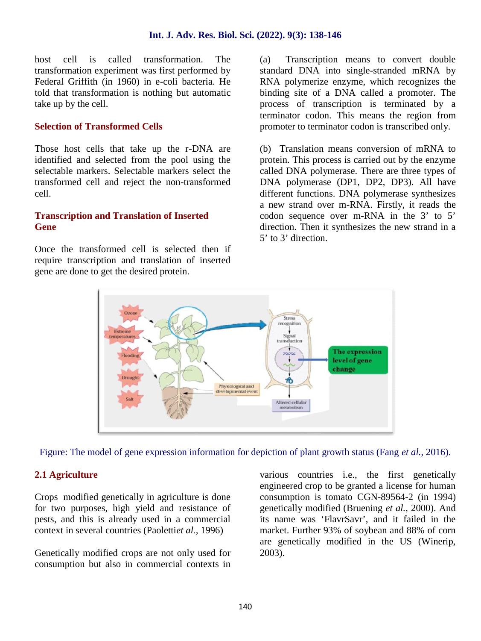host cell is called transformation. The transformation experiment was first performed by Federal Griffith (in 1960) in e-coli bacteria. He told that transformation is nothing but automatic take up by the cell.

#### **Selection of Transformed Cells**

Those host cells that take up the r-DNA are identified and selected from the pool using the selectable markers. Selectable markers select the transformed cell and reject the non-transformed cell.

#### **Transcription and Translation of Inserted Gene**

Once the transformed cell is selected then if require transcription and translation of inserted gene are done to get the desired protein.

Transcription means to convert double standard DNA into single-stranded mRNA by RNA polymerize enzyme, which recognizes the binding site of a DNA called a promoter. The process of transcription is terminated by a terminator codon. This means the region from promoter to terminator codon is transcribed only.

(b) Translation means conversion of mRNA to protein. This process is carried out by the enzyme called DNA polymerase. There are three types of DNA polymerase (DP1, DP2, DP3). All have different functions. DNA polymerase synthesizes a new strand over m-RNA. Firstly, it reads the codon sequence over m-RNA in the 3' to 5' direction. Then it synthesizes the new strand in a 5' to 3' direction.



Figure: The model of gene expression information for depiction of plant growth status (Fang *et al.,* 2016).

# **2.1 Agriculture**

Crops modified genetically in agriculture is done for two purposes, high yield and resistance of pests, and this is already used in a commercial context in several countries (Paoletti*et al.*, 1996)

Genetically modified crops are not only used for consumption but also in commercial contexts in various countries i.e., the first genetically engineered crop to be granted a license for human consumption is tomato CGN-89564-2 (in 1994) genetically modified (Bruening *et al.,* 2000). And its name was 'FlavrSavr', and it failed in the market. Further 93% of soybean and 88% of corn are genetically modified in the US (Winerip, 2003).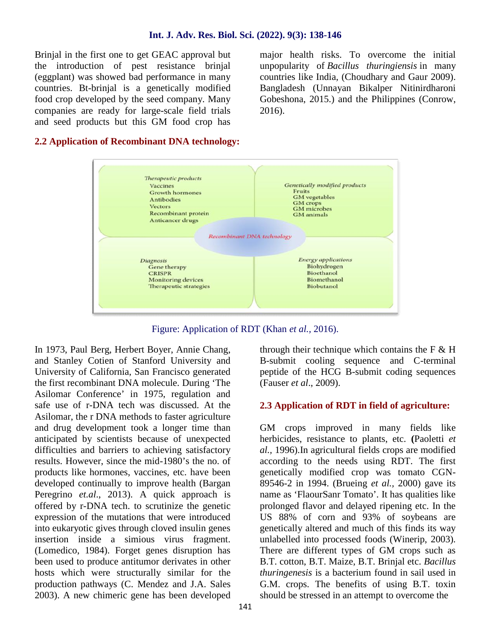Brinjal in the first one to get GEAC approval but the introduction of pest resistance brinjal (eggplant) was showed bad performance in many countries. Bt-brinjal is a genetically modified food crop developed by the seed company. Many companies are ready for large-scale field trials and seed products but this GM food crop has

major health risks. To overcome the initial unpopularity of *Bacillus thuringiensis* in many countries like India, (Choudhary and Gaur 2009). Bangladesh (Unnayan Bikalper Nitinirdharoni Gobeshona, 2015.) and the Philippines (Conrow, 2016).

#### **2.2 Application of Recombinant DNA technology:**



Figure: Application of RDT (Khan *et al.,* 2016).

In 1973, Paul Berg, Herbert Boyer, Annie Chang, and Stanley Cotien of Stanford University and University of California, San Francisco generated the first recombinant DNA molecule. During 'The Asilomar Conference' in 1975, regulation and safe use of r-DNA tech was discussed. At the Asilomar, the r DNA methods to faster agriculture and drug development took a longer time than anticipated by scientists because of unexpected difficulties and barriers to achieving satisfactory results. However, since the mid-1980's the no. of products like hormones, vaccines, etc. have been developed continually to improve health (Bargan Peregrino *et.al*., 2013). A quick approach is offered by r-DNA tech. to scrutinize the genetic expression of the mutations that were introduced into eukaryotic gives through cloved insulin genes insertion inside a simious virus fragment. (Lomedico, 1984). Forget genes disruption has been used to produce antitumor derivates in other hosts which were structurally similar for the production pathways (C. Mendez and J.A. Sales 2003). A new chimeric gene has been developed through their technique which contains the  $F \& H$ B-submit cooling sequence and C-terminal peptide of the HCG B-submit coding sequences (Fauser *et al*., 2009).

#### **2.3 Application of RDT in field of agriculture:**

GM crops improved in many fields like herbicides, resistance to plants, etc. **(**Paoletti *et al.,* 1996).In agricultural fields crops are modified according to the needs using RDT. The first genetically modified crop was tomato CGN- 89546-2 in 1994. (Brueing *et al.,* 2000) gave its name as 'FlaourSanr Tomato'. It has qualities like prolonged flavor and delayed ripening etc. In the US 88% of corn and 93% of soybeans are genetically altered and much of this finds its way unlabelled into processed foods (Winerip, 2003). There are different types of GM crops such as B.T. cotton, B.T. Maize, B.T. Brinjal etc. *Bacillus thuringenesis* is a bacterium found in sail used in G.M. crops. The benefits of using B.T. toxin should be stressed in an attempt to overcome the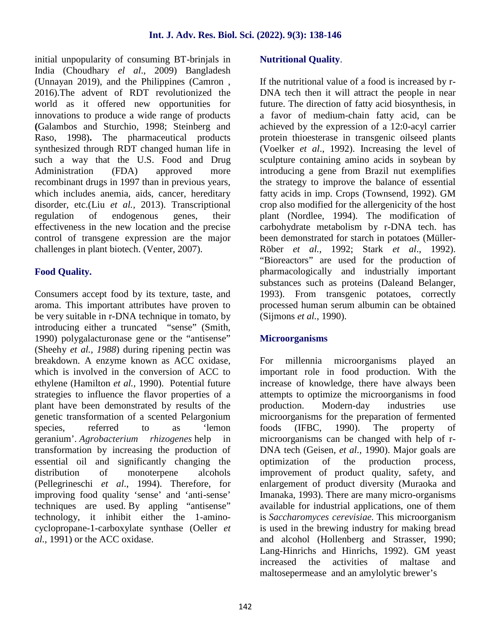initial unpopularity of consuming BT-brinjals in India (Choudhary *el al*., 2009) Bangladesh (Unnayan 2019), and the Philippines (Camron , 2016).The advent of RDT revolutionized the world as it offered new opportunities for innovations to produce a wide range of products **(**Galambos and Sturchio, 1998; Steinberg and Raso, 1998)**.** The pharmaceutical products synthesized through RDT changed human life in such a way that the U.S. Food and Drug Administration (FDA) approved more recombinant drugs in 1997 than in previous years, which includes anemia, aids, cancer, hereditary disorder, etc.(Liu *et al.,* 2013). Transcriptional regulation of endogenous genes, their effectiveness in the new location and the precise control of transgene expression are the major challenges in plant biotech. (Venter, 2007).

## **Food Quality.**

Consumers accept food by its texture, taste, and aroma. This important attributes have proven to be very suitable in r-DNA technique in tomato, by introducing either a truncated "sense" (Smith, 1990) polygalacturonase gene or the "antisense" (Sheehy *et al., 1988*) during ripening pectin was breakdown. A enzyme known as ACC oxidase, which is involved in the conversion of ACC to ethylene (Hamilton *et al.,* 1990). Potential future strategies to influence the flavor properties of a plant have been demonstrated by results of the genetic transformation of a scented Pelargonium species, referred to as 'lemon foods geranium'. *Agrobacterium rhizogenes* help in transformation by increasing the production of essential oil and significantly changing the distribution of monoterpene alcohols (Pellegrineschi *et al*., 1994). Therefore, for improving food quality 'sense' and 'anti-sense' techniques are used. By appling "antisense" technology, it inhibit either the 1-amino cyclopropane-1-carboxylate synthase (Oeller *et al.,* 1991) or the ACC oxidase.

#### **Nutritional Quality**.

If the nutritional value of a food is increased by r- DNA tech then it will attract the people in near future. The direction of fatty acid biosynthesis, in a favor of medium-chain fatty acid, can be achieved by the expression of a 12:0-acyl carrier protein thioesterase in transgenic oilseed plants (Voelker *et al*., 1992). Increasing the level of sculpture containing amino acids in soybean by introducing a gene from Brazil nut exemplifies the strategy to improve the balance of essential fatty acids in imp. Crops (Townsend, 1992). GM crop also modified for the allergenicity of the host plant (Nordlee, 1994). The modification of carbohydrate metabolism by r-DNA tech. has been demonstrated for starch in potatoes (Müller- Röber *et al.,* 1992; Stark *et al*., 1992). "Bioreactors" are used for the production of pharmacologically and industrially important substances such as proteins (Daleand Belanger, 1993). From transgenic potatoes, correctly processed human serum albumin can be obtained (Sijmons *et al.,* 1990).

#### **Microorganisms**

For millennia microorganisms played an important role in food production. With the increase of knowledge, there have always been attempts to optimize the microorganisms in food Modern-day industries use microorganisms for the preparation of fermented  $(FBC, 1990)$ . The property of microorganisms can be changed with help of r- DNA tech (Geisen, *et al.,* 1990). Major goals are optimization of the production process, improvement of product quality, safety, and enlargement of product diversity (Muraoka and Imanaka, 1993). There are many micro-organisms available for industrial applications, one of them is *Saccharomyces cerevisiae.* This microorganism is used in the brewing industry for making bread and alcohol (Hollenberg and Strasser, 1990; Lang-Hinrichs and Hinrichs, 1992). GM yeast increased the activities of maltase and maltosepermease and an amylolytic brewer's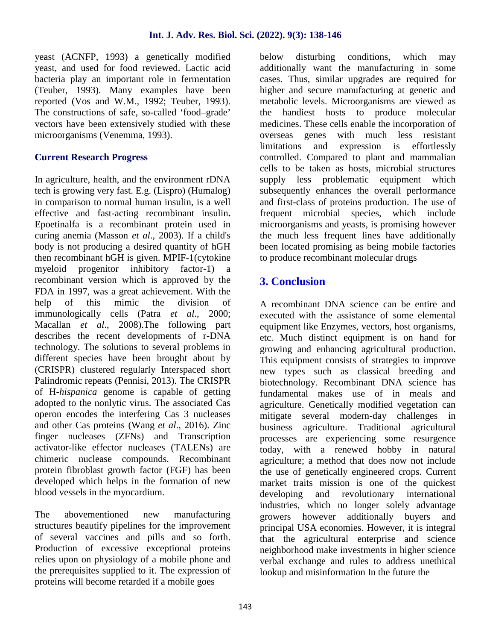yeast (ACNFP, 1993) a genetically modified yeast, and used for food reviewed. Lactic acid bacteria play an important role in fermentation (Teuber, 1993). Many examples have been reported (Vos and W.M., 1992; Teuber, 1993). The constructions of safe, so-called 'food–grade' vectors have been extensively studied with these microorganisms (Venemma, 1993).

## **Current Research Progress**

In agriculture, health, and the environment rDNA tech is growing very fast. E.g. (Lispro) (Humalog) in comparison to normal human insulin, is a well effective and fast-acting recombinant insulin**.** Epoetinalfa is a recombinant protein used in curing anemia (Masson *et al*., 2003). If a child's body is not producing a desired quantity of hGH then recombinant hGH is given. MPIF-1(cytokine myeloid progenitor inhibitory factor-1) a recombinant version which is approved by the FDA in 1997, was a great achievement. With the help of this mimic the division of immunologically cells (Patra *et al*., 2000; Macallan *et al*., 2008).The following part describes the recent developments of r-DNA technology. The solutions to several problems in different species have been brought about by (CRISPR) clustered regularly Interspaced short Palindromic repeats (Pennisi, 2013). The CRISPR of H-*hispanica* genome is capable of getting adopted to the nonlytic virus. The associated Cas operon encodes the interfering Cas 3 nucleases and other Cas proteins (Wang *et al*., 2016). Zinc finger nucleases (ZFNs) and Transcription activator-like effector nucleases (TALENs) are chimeric nuclease compounds. Recombinant protein fibroblast growth factor (FGF) has been developed which helps in the formation of new blood vessels in the myocardium.

The abovementioned new manufacturing structures beautify pipelines for the improvement of several vaccines and pills and so forth. Production of excessive exceptional proteins relies upon on physiology of a mobile phone and the prerequisites supplied to it. The expression of proteins will become retarded if a mobile goes

disturbing conditions, which may additionally want the manufacturing in some cases. Thus, similar upgrades are required for higher and secure manufacturing at genetic and metabolic levels. Microorganisms are viewed as the handiest hosts to produce molecular medicines. These cells enable the incorporation of overseas genes with much less resistant limitations and expression is effortlessly controlled. Compared to plant and mammalian cells to be taken as hosts, microbial structures supply less problematic equipment which subsequently enhances the overall performance and first-class of proteins production. The use of frequent microbial species, which include microorganisms and yeasts, is promising however the much less frequent lines have additionally been located promising as being mobile factories to produce recombinant molecular drugs

# **3. Conclusion**

A recombinant DNA science can be entire and executed with the assistance of some elemental equipment like Enzymes, vectors, host organisms, etc. Much distinct equipment is on hand for growing and enhancing agricultural production. This equipment consists of strategies to improve new types such as classical breeding and biotechnology. Recombinant DNA science has fundamental makes use of in meals and agriculture. Genetically modified vegetation can mitigate several modern-day challenges in business agriculture. Traditional agricultural processes are experiencing some resurgence today, with a renewed hobby in natural agriculture; a method that does now not include the use of genetically engineered crops. Current market traits mission is one of the quickest developing and revolutionary international industries, which no longer solely advantage growers however additionally buyers and principal USA economies. However, it is integral that the agricultural enterprise and science neighborhood make investments in higher science verbal exchange and rules to address unethical lookup and misinformation In the future the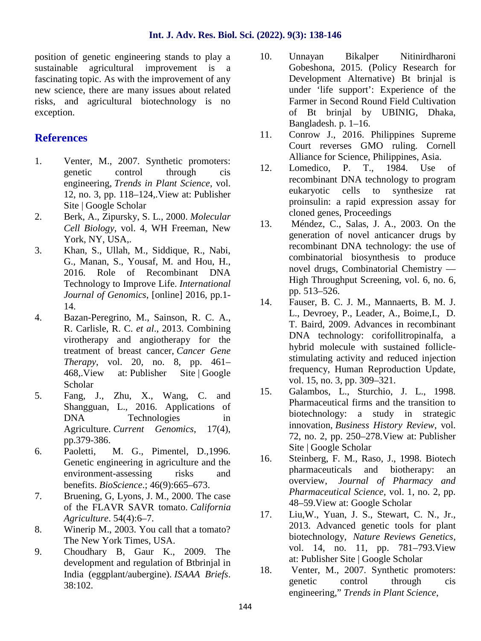position of genetic engineering stands to play a sustainable agricultural improvement is a fascinating topic. As with the improvement of any new science, there are many issues about related risks, and agricultural biotechnology is no exception.

# **References**

- 1. Venter, M., 2007. Synthetic promoters: genetic control through cis engineering, *Trends in Plant Science*, vol. 12, no. 3, pp. 118–124,.View at: Publisher Site | Google Scholar
- 2. Berk, A., Zipursky, S. L., 2000. *Molecular Cell Biology*, vol. 4, WH Freeman, New 13. York, NY, USA,.
- 3. Khan, S., Ullah, M., Siddique, R., Nabi, G., Manan, S., Yousaf, M. and Hou, H., 2016. Role of Recombinant DNA Technology to Improve Life. *International Journal of Genomics*, [online] 2016, pp.1- 14.
- 4. Bazan-Peregrino, M., Sainson, R. C. A., R. Carlisle, R. C. *et al*., 2013. Combining virotherapy and angiotherapy for the treatment of breast cancer, *Cancer Gene Therapy*, vol. 20, no. 8, pp. 461– 468,.View at: Publisher Site | Google Scholar
- 5. Fang, J., Zhu, X., Wang, C. and <sup>15.</sup> Shangguan, L., 2016. Applications of DNA Technologies in Agriculture. *Current Genomics*, 17(4), pp.379-386.
- 6. Paoletti, M. G., Pimentel, D.,1996. Genetic engineering in agriculture and the 16. environment-assessing risks and benefits. *BioScience*.; 46(9):665–673.
- 7. Bruening, G, Lyons, J. M., 2000. The case of the FLAVR SAVR tomato. *California* 17. *Agriculture*. 54(4):6–7.
- 8. Winerip M., 2003. You call that a tomato? The New York Times, USA.
- 9. Choudhary B, Gaur K., 2009. The development and regulation of Btbrinjal in<br>India (agental) ISAAA, Briggs 18. India (eggplant/aubergine). *ISAAA Briefs*. 38:102.
- 10. Unnayan Bikalper Nitinirdharoni Gobeshona, 2015. (Policy Research for Development Alternative) Bt brinjal is under 'life support': Experience of the Farmer in Second Round Field Cultivation of Bt brinjal by UBINIG, Dhaka, Bangladesh. p. 1–16.
- 11. Conrow J., 2016. Philippines Supreme Court reverses GMO ruling. Cornell Alliance for Science, Philippines, Asia.
- 12. Lomedico, P. T., 1984. Use of recombinant DNA technology to program eukaryotic cells to synthesize rat proinsulin: a rapid expression assay for cloned genes, Proceedings
- Méndez, C., Salas, J. A., 2003. On the generation of novel anticancer drugs by recombinant DNA technology: the use of combinatorial biosynthesis to produce novel drugs, Combinatorial Chemistry — High Throughput Screening, vol. 6, no. 6, pp. 513–526.
- 14. Fauser, B. C. J. M., Mannaerts, B. M. J. L., Devroey, P., Leader, A., Boime,I., D. T. Baird, 2009. Advances in recombinant DNA technology: corifollitropinalfa, a hybrid molecule with sustained follicle stimulating activity and reduced injection frequency, Human Reproduction Update, vol. 15, no. 3, pp. 309–321.
- 15. Galambos, L., Sturchio, J. L., 1998. Pharmaceutical firms and the transition to biotechnology: a study in strategic innovation, *Business History Review*, vol. 72, no. 2, pp. 250–278.View at: Publisher Site | Google Scholar
- Steinberg, F. M., Raso, J., 1998. Biotech pharmaceuticals and biotherapy: an overview, *Journal of Pharmacy and Pharmaceutical Science*, vol. 1, no. 2, pp. 48–59.View at: Google Scholar
- Liu,W., Yuan, J. S., Stewart, C. N., Jr., 2013. Advanced genetic tools for plant biotechnology, *Nature Reviews Genetics*, vol. 14, no. 11, pp. 781–793.View at: Publisher Site | Google Scholar
- Venter, M., 2007. Synthetic promoters: genetic control through cis engineering," *Trends in Plant Science*,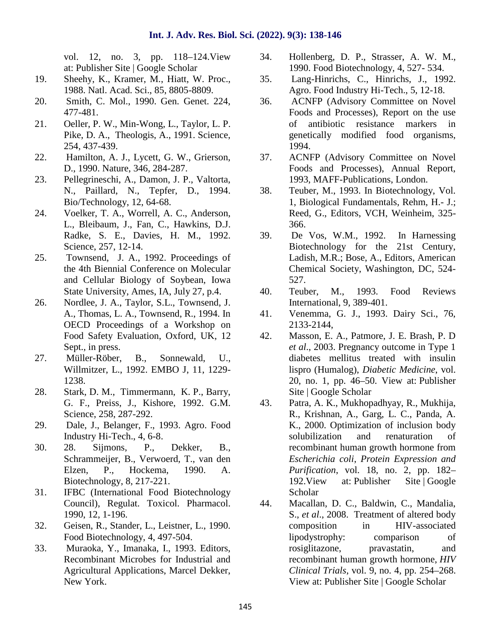vol. 12, no. 3, pp. 118–124. View 34. at: Publisher Site | Google Scholar

- 19. Sheehy, K., Kramer, M., Hiatt, W. Proc., 1988. Natl. Acad. Sci., 85, 8805-8809.
- 20. Smith, C. Mol., 1990. Gen. Genet. 224, 477-481.
- 21. Oeller, P. W., Min-Wong, L., Taylor, L. P. Pike, D. A., Theologis, A., 1991. Science, 254, 437-439.
- 22. Hamilton, A. J., Lycett, G. W., Grierson, D., 1990. Nature, 346, 284-287.
- 23. Pellegrineschi, ., Damon, J. P., Valtorta, N., Paillard, ., Tepfer, D., 1994. Bio/Technology, 12, 64-68.
- 24. Voelker, T. A., Worrell, A. C., Anderson, L., Bleibaum, J., Fan, C., Hawkins, D.J. Radke, S. E., Davies, H. M., 1992. Science, 257, 12-14.
- 25. Townsend, J. A., 1992. Proceedings of the 4th Biennial Conference on Molecular and Cellular Biology of Soybean, Iowa State University, Ames, IA, July 27, p.4.
- 26. Nordlee, J. ., Taylor, S.L., Townsend, J. ., Thomas, L. A., Townsend, R., 1994. In 41. OECD Proceedings of a Workshop on Food Safety Evaluation, Oxford, UK, 12 Sept., in press.
- 27. Müller-Röber, B., Sonnewald, U., Willmitzer, L., 1992. EMBO J, 11, 1229- 1238.
- 28. Stark, D. M., Timmermann, K. P., Barry, G. F., Preiss, J., Kishore, 1992. G.M. Science, 258, 287-292.
- 29. Dale, J., Belanger, F., 1993. Agro. Food Industry Hi-Tech., 4, 6-8.
- 30. 28. Sijmons, P., Dekker, B., Schrammeijer, B., Verwoerd, T., van den Elzen, P., Hockema, 1990. A. Biotechnology, 8, 217-221.
- 31. IFBC (International Food Biotechnology Council), Regulat. Toxicol. Pharmacol. 1990, 12, 1-196.
- 32. Geisen, R., Stander, L., Leistner, L., 1990. Food Biotechnology, 4, 497-504.
- 33. Muraoka, Y., Imanaka, I., 1993. Editors, Recombinant Microbes for Industrial and Agricultural Applications, Marcel Dekker, New York.
- 34. Hollenberg, D. P., Strasser, A. W. M., 1990. Food Biotechnology, 4, 527- 534.
- 35. Lang-Hinrichs, C., Hinrichs, J., 1992. Agro. Food Industry Hi-Tech., 5, 12-18.
- 36. ACNFP (Advisory Committee on Novel Foods and Processes), Report on the use of antibiotic resistance markers in genetically modified food organisms, 1994.
- 37. ACNFP (Advisory Committee on Novel Foods and Processes), Annual Report, 1993, MAFF-Publications, London.
- 38. Teuber, M., 1993. In Biotechnology, Vol. 1, Biological Fundamentals, Rehm, H.- J.; Reed, G., Editors, VCH, Weinheim, 325- 366.
- 39. De Vos, W.M., 1992. In Harnessing Biotechnology for the 21st Century, Ladish, M.R.; Bose, ..., Editors, American Chemical Society, Washington, DC, 524- 527.
- 40. Teuber, M., 1993. Food Reviews International, 9, 389-401.
- 41. Venemma, G. J., 1993. Dairy Sci., 76, 2133-2144,
- Masson, E. A., Patmore, J. E. Brash, P. D. *et al*., 2003. Pregnancy outcome in Type 1 diabetes mellitus treated with insulin lispro (Humalog), *Diabetic Medicine*, vol. 20, no. 1, pp. 46–50. View at: Publisher Site | Google Scholar
- 43. Patra, A. K., Mukhopadhyay, R., Mukhija, R., Krishnan, A., Garg, L. C., Panda, A. K., 2000. Optimization of inclusion body solubilization and renaturation of recombinant human growth hormone from *Escherichia coli*, *Protein Expression and Purification*, vol. 18, no. 2, pp. 182– 192.View at: Publisher Site | Google Scholar
- 44. Macallan, D. C., Baldwin, C., Mandalia, S., *et al*., 2008. Treatment of altered body composition in HIV-associated lipodystrophy: comparison of rosiglitazone, pravastatin, and recombinant human growth hormone, *HIV Clinical Trials*, vol. 9, no. 4, pp. 254–268. View at: Publisher Site | Google Scholar